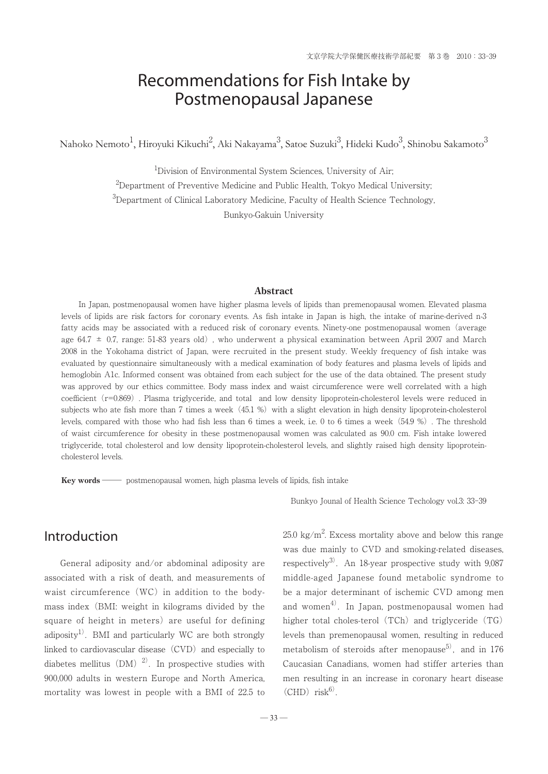# Recommendations for Fish Intake by Postmenopausal Japanese

Nahoko Nemoto $^1$ , Hiroyuki Kikuchi $^2$ , Aki Nakayama $^3$ , Satoe Suzuki $^3$ , Hideki Kudo $^3$ , Shinobu Sakamoto $^3$ 

<sup>1</sup>Division of Environmental System Sciences, University of Air;

 $^{2}$ Department of Preventive Medicine and Public Health, Tokyo Medical University;

<sup>3</sup>Department of Clinical Laboratory Medicine, Faculty of Health Science Technology,

Bunkyo-Gakuin University

#### **Abstract**

 In Japan, postmenopausal women have higher plasma levels of lipids than premenopausal women. Elevated plasma levels of lipids are risk factors for coronary events. As fish intake in Japan is high, the intake of marine-derived n-3 fatty acids may be associated with a reduced risk of coronary events. Ninety-one postmenopausal women(average age 64.7  $\pm$  0.7, range: 51-83 years old), who underwent a physical examination between April 2007 and March 2008 in the Yokohama district of Japan, were recruited in the present study. Weekly frequency of fish intake was evaluated by questionnaire simultaneously with a medical examination of body features and plasma levels of lipids and hemoglobin A1c. Informed consent was obtained from each subject for the use of the data obtained. The present study was approved by our ethics committee. Body mass index and waist circumference were well correlated with a high coefficient (r=0.869). Plasma triglyceride, and total and low density lipoprotein-cholesterol levels were reduced in subjects who ate fish more than 7 times a week  $(45.1 %)$  with a slight elevation in high density lipoprotein-cholesterol levels, compared with those who had fish less than 6 times a week, i.e. 0 to 6 times a week(54.9 %). The threshold of waist circumference for obesity in these postmenopausal women was calculated as 90.0 cm. Fish intake lowered triglyceride, total cholesterol and low density lipoprotein-cholesterol levels, and slightly raised high density lipoproteincholesterol levels.

**Key words** postmenopausal women, high plasma levels of lipids, fish intake

Introduction

 General adiposity and/or abdominal adiposity are associated with a risk of death, and measurements of waist circumference (WC) in addition to the bodymass index(BMI: weight in kilograms divided by the square of height in meters) are useful for defining adiposity<sup>1)</sup>. BMI and particularly WC are both strongly linked to cardiovascular disease  $(CVD)$  and especially to diabetes mellitus (DM)<sup>2)</sup>. In prospective studies with 900,000 adults in western Europe and North America, mortality was lowest in people with a BMI of 22.5 to Bunkyo Jounal of Health Science Techology vol.3: 33-39

 $25.0 \text{ kg/m}^2$ . Excess mortality above and below this range was due mainly to CVD and smoking-related diseases, respectively<sup>3)</sup>. An 18-year prospective study with  $9.087$ middle-aged Japanese found metabolic syndrome to be a major determinant of ischemic CVD among men and women<sup>4)</sup>. In Japan, postmenopausal women had higher total choles-terol  $(TCh)$  and triglyceride  $(TG)$ levels than premenopausal women, resulting in reduced metabolism of steroids after menopause<sup>5)</sup>, and in 176 Caucasian Canadians, women had stiffer arteries than men resulting in an increase in coronary heart disease  $(CHD)$  risk<sup>6)</sup>.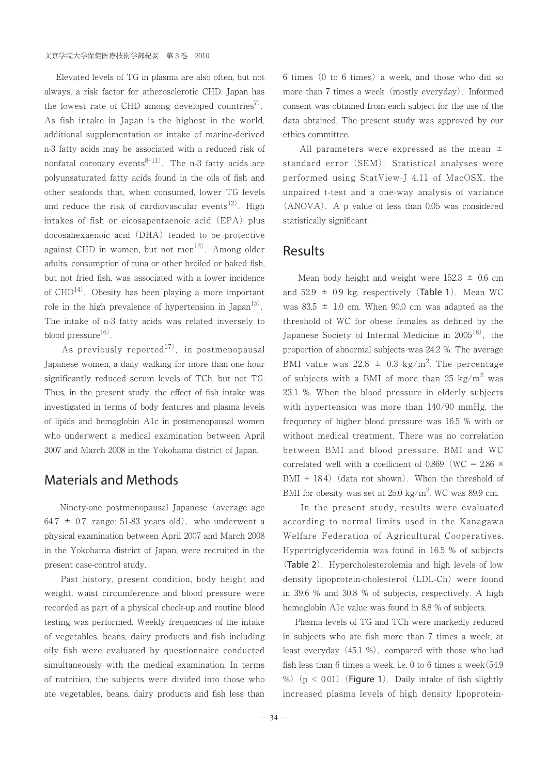Elevated levels of TG in plasma are also often, but not always, a risk factor for atherosclerotic CHD. Japan has the lowest rate of CHD among developed countries<sup>7)</sup>. As fish intake in Japan is the highest in the world, additional supplementation or intake of marine-derived n-3 fatty acids may be associated with a reduced risk of nonfatal coronary events $8-11$ ). The n-3 fatty acids are polyunsaturated fatty acids found in the oils of fish and other seafoods that, when consumed, lower TG levels and reduce the risk of cardiovascular events<sup>12)</sup>. High intakes of fish or eicosapentaenoic acid (EPA) plus docosahexaenoic acid (DHA) tended to be protective against CHD in women, but not men $^{13)}$ . Among older adults, consumption of tuna or other broiled or baked fish, but not fried fish, was associated with a lower incidence of  $CHD<sup>14</sup>$ . Obesity has been playing a more important role in the high prevalence of hypertension in Japan $^{15}$ . The intake of n-3 fatty acids was related inversely to blood pressure $^{16)}$ .

As previously reported<sup>17)</sup>, in postmenopausal Japanese women, a daily walking for more than one hour significantly reduced serum levels of TCh, but not TG. Thus, in the present study, the effect of fish intake was investigated in terms of body features and plasma levels of lipids and hemoglobin A1c in postmenopausal women who underwent a medical examination between April 2007 and March 2008 in the Yokohama district of Japan.

## Materials and Methods

Ninety-one postmenopausal Japanese (average age 64.7  $\pm$  0.7, range: 51-83 years old), who underwent a physical examination between April 2007 and March 2008 in the Yokohama district of Japan, were recruited in the present case-control study.

 Past history, present condition, body height and weight, waist circumference and blood pressure were recorded as part of a physical check-up and routine blood testing was performed. Weekly frequencies of the intake of vegetables, beans, dairy products and fish including oily fish were evaluated by questionnaire conducted simultaneously with the medical examination. In terms of nutrition, the subjects were divided into those who ate vegetables, beans, dairy products and fish less than  $6 \times 6$  times (0 to 6 times) a week, and those who did so more than 7 times a week (mostly everyday). Informed consent was obtained from each subject for the use of the data obtained. The present study was approved by our ethics committee.

All parameters were expressed as the mean  $\pm$ standard error (SEM). Statistical analyses were performed using StatView-J 4.11 of MacOSX, the unpaired t-test and a one-way analysis of variance (ANOVA). A p value of less than 0.05 was considered statistically significant.

#### Results

Mean body height and weight were  $152.3 \pm 0.6$  cm and  $52.9 \pm 0.9$  kg, respectively (Table 1). Mean WC was  $83.5 \pm 1.0$  cm. When 90.0 cm was adapted as the threshold of WC for obese females as defined by the Japanese Society of Internal Medicine in  $2005^{18}$ , the proportion of abnormal subjects was 24.2 %. The average BMI value was 22.8  $\pm$  0.3 kg/m<sup>2</sup>. The percentage of subjects with a BMI of more than 25 kg/m<sup>2</sup> was 23.1 %. When the blood pressure in elderly subjects with hypertension was more than 140/90 mmHg, the frequency of higher blood pressure was 16.5 % with or without medical treatment. There was no correlation between BMI and blood pressure. BMI and WC correlated well with a coefficient of 0.869 (WC = 2.86  $\times$  $BMI + 18.4)$  (data not shown). When the threshold of BMI for obesity was set at  $25.0 \text{ kg/m}^2$ , WC was 89.9 cm.

 In the present study, results were evaluated according to normal limits used in the Kanagawa Welfare Federation of Agricultural Cooperatives. Hypertriglyceridemia was found in 16.5 % of subjects (Table 2). Hypercholesterolemia and high levels of low density lipoprotein-cholesterol (LDL-Ch) were found in 39.6 % and 30.8 % of subjects, respectively. A high hemoglobin A1c value was found in 8.8 % of subjects.

 Plasma levels of TG and TCh were markedly reduced in subjects who ate fish more than 7 times a week, at least everyday  $(45.1 \%)$ , compared with those who had fish less than 6 times a week, i.e. 0 to 6 times a week(54.9 %) ( $p < 0.01$ ) (Figure 1). Daily intake of fish slightly increased plasma levels of high density lipoprotein-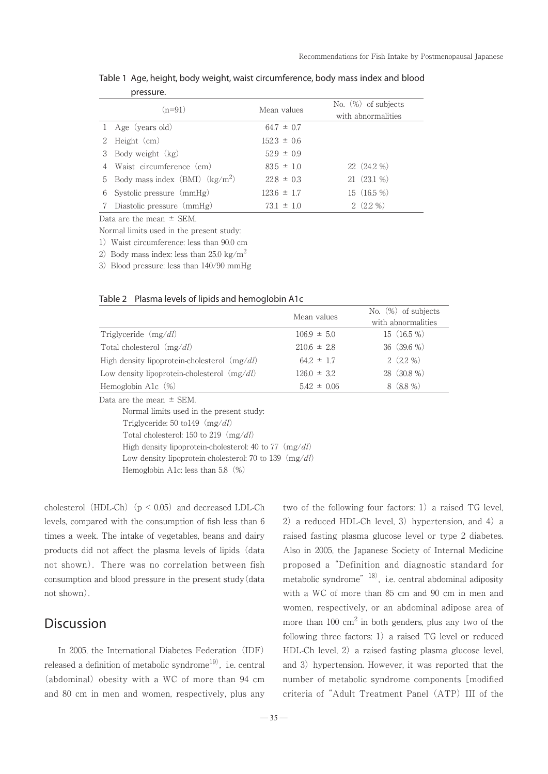| <u>picaan ci</u>                    |                 |                                              |
|-------------------------------------|-----------------|----------------------------------------------|
| $(n=91)$                            | Mean values     | No. $(\%)$ of subjects<br>with abnormalities |
| 1 Age (years old)                   | $64.7 \pm 0.7$  |                                              |
| 2 Height (cm)                       | $152.3 \pm 0.6$ |                                              |
| 3 Body weight (kg)                  | $52.9 \pm 0.9$  |                                              |
| 4 Waist circumference (cm)          | $83.5 \pm 1.0$  | $22(24.2\%)$                                 |
| 5 Body mass index $(BMI)$ $(kg/m2)$ | $22.8 \pm 0.3$  | 21 (23.1 %)                                  |
| 6 Systolic pressure $(mmHg)$        | $123.6 \pm 1.7$ | 15 (16.5 %)                                  |
| 7 Diastolic pressure (mmHg)         | $73.1 \pm 1.0$  | $2(2.2\%)$                                   |

Table 1 Age, height, body weight, waist circumference, body mass index and blood pressure.

Data are the mean  $\pm$  SEM.

Normal limits used in the present study:

1)Waist circumference: less than 90.0 cm

2) Body mass index: less than  $25.0 \text{ kg/m}^2$ 

3) Blood pressure: less than  $140/90$  mmHg

| Table 2 Plasma levels of lipids and hemoglobin A1c |  |  |
|----------------------------------------------------|--|--|
|----------------------------------------------------|--|--|

|                                                | Mean values     | No. $(\%)$ of subjects |
|------------------------------------------------|-----------------|------------------------|
|                                                |                 | with abnormalities     |
| Triglyceride $(mg/dl)$                         | $106.9 \pm 5.0$ | $15(16.5\%)$           |
| Total cholesterol $(mg/dl)$                    | $210.6 \pm 2.8$ | $36(39.6\%)$           |
| High density lipoprotein-cholesterol $(mg/dl)$ | $64.2 \pm 1.7$  | $2(2.2\%)$             |
| Low density lipoprotein-cholesterol $(mg/dl)$  | $126.0 \pm 3.2$ | 28 (30.8 %)            |
| Hemoglobin A1 $c$ $(\%)$                       | $5.42 \pm 0.06$ | $8(8.8\%)$             |
| Data are the mean $\pm$ SEM.                   |                 |                        |

 Normal limits used in the present study: Triglyceride:  $50 \text{ to } 149 \text{ (mg/dl)}$ Total cholesterol: 150 to 219  $(mg/dl)$ High density lipoprotein-cholesterol: 40 to 77  $(mg/dl)$ Low density lipoprotein-cholesterol: 70 to 139  $(mg/dl)$ Hemoglobin A1c: less than 5.8(%)

cholesterol (HDL-Ch) ( $p < 0.05$ ) and decreased LDL-Ch levels, compared with the consumption of fish less than 6 times a week. The intake of vegetables, beans and dairy products did not affect the plasma levels of lipids (data not shown). There was no correlation between fish consumption and blood pressure in the present study(data not shown).

### **Discussion**

In 2005, the International Diabetes Federation (IDF) released a definition of metabolic syndrome<sup>19)</sup>, i.e. central (abdominal) obesity with a WC of more than  $94 \text{ cm}$ and 80 cm in men and women, respectively, plus any

two of the following four factors:  $1)$  a raised TG level, 2) a reduced HDL-Ch level, 3) hypertension, and 4) a raised fasting plasma glucose level or type 2 diabetes. Also in 2005, the Japanese Society of Internal Medicine proposed a "Definition and diagnostic standard for metabolic syndrome"<sup>18)</sup>, i.e. central abdominal adiposity with a WC of more than 85 cm and 90 cm in men and women, respectively, or an abdominal adipose area of more than  $100 \text{ cm}^2$  in both genders, plus any two of the following three factors:  $1)$  a raised TG level or reduced HDL-Ch level, 2) a raised fasting plasma glucose level, and 3) hypertension. However, it was reported that the number of metabolic syndrome components [modified criteria of "Adult Treatment Panel (ATP) III of the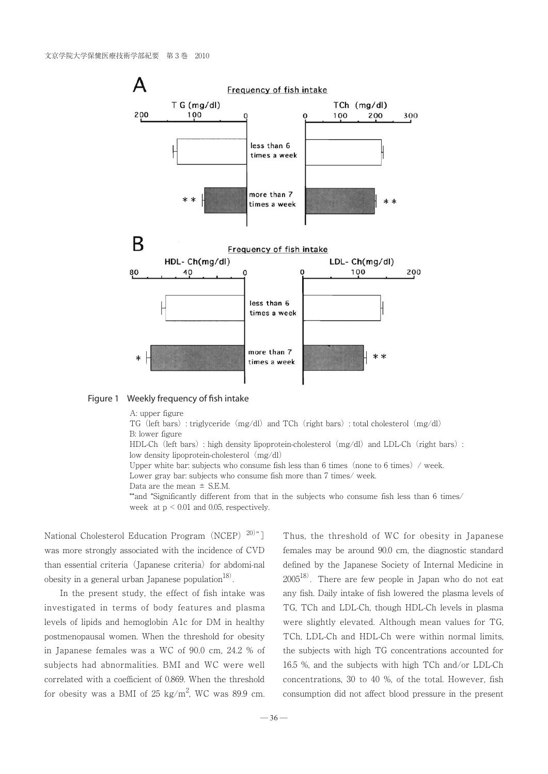

#### Figure 1 Weekly frequency of fish intake

A: upper figure

TG (left bars): triglyceride  $(mg/dl)$  and TCh (right bars): total cholesterol  $(mg/dl)$ B: lower figure

HDL-Ch (left bars): high density lipoprotein-cholesterol (mg/dl) and LDL-Ch (right bars): low density lipoprotein-cholesterol (mg/dl)

Upper white bar: subjects who consume fish less than  $6$  times (none to  $6$  times) / week. Lower gray bar: subjects who consume fish more than 7 times/ week.

Data are the mean  $\pm$  S.E.M.

 \*\*and \*Significantly different from that in the subjects who consume fish less than 6 times/ week at p < 0.01 and 0.05, respectively.

National Cholesterol Education Program (NCEP)<sup>20)</sup>"] was more strongly associated with the incidence of CVD than essential criteria (Japanese criteria) for abdomi-nal obesity in a general urban Japanese population $^{18}$ .

 In the present study, the effect of fish intake was investigated in terms of body features and plasma levels of lipids and hemoglobin A1c for DM in healthy postmenopausal women. When the threshold for obesity in Japanese females was a WC of 90.0 cm, 24.2 % of subjects had abnormalities. BMI and WC were well correlated with a coefficient of 0.869. When the threshold for obesity was a BMI of 25 kg/m<sup>2</sup>, WC was 89.9 cm.

Thus, the threshold of WC for obesity in Japanese females may be around 90.0 cm, the diagnostic standard defined by the Japanese Society of Internal Medicine in  $2005^{18}$ . There are few people in Japan who do not eat any fish. Daily intake of fish lowered the plasma levels of TG, TCh and LDL-Ch, though HDL-Ch levels in plasma were slightly elevated. Although mean values for TG, TCh, LDL-Ch and HDL-Ch were within normal limits, the subjects with high TG concentrations accounted for 16.5 %, and the subjects with high TCh and/or LDL-Ch concentrations, 30 to 40 %, of the total. However, fish consumption did not affect blood pressure in the present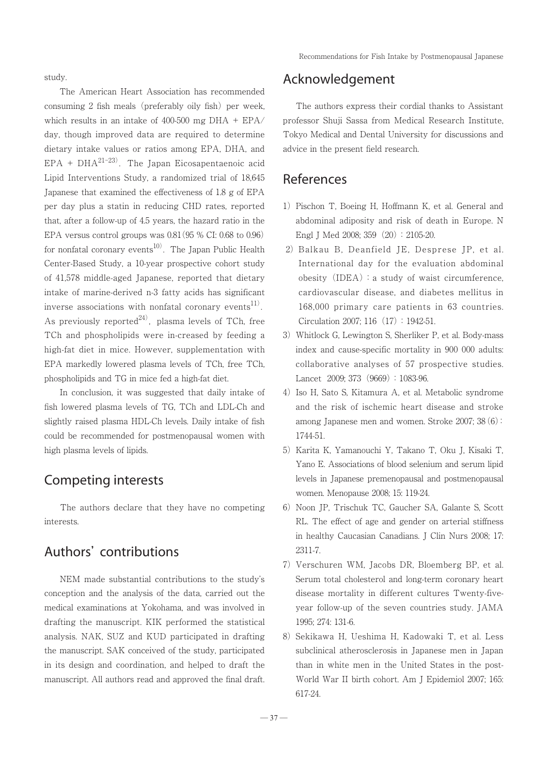Recommendations for Fish Intake by Postmenopausal Japanese

study.

 The American Heart Association has recommended consuming 2 fish meals (preferably oily fish) per week, which results in an intake of 400-500 mg DHA +  $EPA$ day, though improved data are required to determine dietary intake values or ratios among EPA, DHA, and  $EPA + DHA^{21-23}$ . The Japan Eicosapentaenoic acid Lipid Interventions Study, a randomized trial of 18,645 Japanese that examined the effectiveness of 1.8 g of EPA per day plus a statin in reducing CHD rates, reported that, after a follow-up of 4.5 years, the hazard ratio in the EPA versus control groups was 0.81(95 % CI: 0.68 to 0.96) for nonfatal coronary events<sup>10)</sup>. The Japan Public Health Center-Based Study, a 10-year prospective cohort study of 41,578 middle-aged Japanese, reported that dietary intake of marine-derived n-3 fatty acids has significant inverse associations with nonfatal coronary events $^{11}$ . As previously reported<sup>24)</sup>, plasma levels of TCh, free TCh and phospholipids were in-creased by feeding a high-fat diet in mice. However, supplementation with EPA markedly lowered plasma levels of TCh, free TCh, phospholipids and TG in mice fed a high-fat diet.

 In conclusion, it was suggested that daily intake of fish lowered plasma levels of TG, TCh and LDL-Ch and slightly raised plasma HDL-Ch levels. Daily intake of fish could be recommended for postmenopausal women with high plasma levels of lipids.

### Competing interests

 The authors declare that they have no competing interests.

# Authors' contributions

 NEM made substantial contributions to the study's conception and the analysis of the data, carried out the medical examinations at Yokohama, and was involved in drafting the manuscript. KIK performed the statistical analysis. NAK, SUZ and KUD participated in drafting the manuscript. SAK conceived of the study, participated in its design and coordination, and helped to draft the manuscript. All authors read and approved the final draft.

## Acknowledgement

 The authors express their cordial thanks to Assistant professor Shuji Sassa from Medical Research Institute, Tokyo Medical and Dental University for discussions and advice in the present field research.

### References

- 1) Pischon T, Boeing H, Hoffmann K, et al. General and abdominal adiposity and risk of death in Europe. N Engl J Med 2008; 359 (20): 2105-20.
- 2) Balkau B, Deanfield JE, Desprese JP, et al. International day for the evaluation abdominal obesity  $(IDEA)$ : a study of waist circumference, cardiovascular disease, and diabetes mellitus in 168,000 primary care patients in 63 countries. Circulation 2007; 116(17):1942-51.
- 3) Whitlock G, Lewington S, Sherliker P, et al. Body-mass index and cause-specific mortality in 900 000 adults: collaborative analyses of 57 prospective studies. Lancet 2009: 373 (9669): 1083-96.
- 4) Iso H, Sato S, Kitamura A, et al. Metabolic syndrome and the risk of ischemic heart disease and stroke among Japanese men and women. Stroke 2007; 38(6): 1744-51.
- 5) Karita K, Yamanouchi Y, Takano T, Oku J, Kisaki T, Yano E. Associations of blood selenium and serum lipid levels in Japanese premenopausal and postmenopausal women. Menopause 2008; 15: 119-24.
- 6) Noon JP, Trischuk TC, Gaucher SA, Galante S, Scott RL. The effect of age and gender on arterial stiffness in healthy Caucasian Canadians. J Clin Nurs 2008; 17: 2311-7.
- 7) Verschuren WM, Jacobs DR, Bloemberg BP, et al. Serum total cholesterol and long-term coronary heart disease mortality in different cultures Twenty-fiveyear follow-up of the seven countries study. JAMA 1995; 274: 131-6.
- 8) Sekikawa H, Ueshima H, Kadowaki T, et al. Less subclinical atherosclerosis in Japanese men in Japan than in white men in the United States in the post-World War II birth cohort. Am J Epidemiol 2007; 165: 617-24.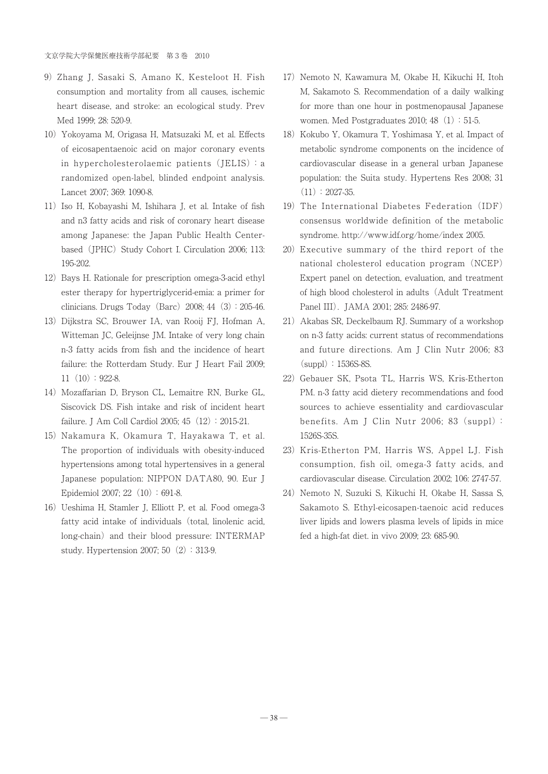- 9) Zhang J, Sasaki S, Amano K, Kesteloot H. Fish consumption and mortality from all causes, ischemic heart disease, and stroke: an ecological study. Prev Med 1999; 28: 520-9.
- 10) Yokoyama M, Origasa H, Matsuzaki M, et al. Effects of eicosapentaenoic acid on major coronary events in hypercholesterolaemic patients (JELIS): a randomized open-label, blinded endpoint analysis. Lancet 2007; 369: 1090-8.
- 11) Iso H, Kobayashi M, Ishihara J, et al. Intake of fish and n3 fatty acids and risk of coronary heart disease among Japanese: the Japan Public Health Centerbased (JPHC) Study Cohort I. Circulation 2006; 113: 195-202.
- 12) Bays H. Rationale for prescription omega-3-acid ethyl ester therapy for hypertriglycerid-emia: a primer for clinicians. Drugs Today (Barc)  $2008$ ; 44 $(3)$ : 205-46.
- 13) Dijkstra SC, Brouwer IA, van Rooij FJ, Hofman A, Witteman JC, Geleijnse JM. Intake of very long chain n-3 fatty acids from fish and the incidence of heart failure: the Rotterdam Study. Eur J Heart Fail 2009;  $11(10):922-8.$
- 14) Mozaffarian D, Bryson CL, Lemaitre RN, Burke GL, Siscovick DS. Fish intake and risk of incident heart failure. J Am Coll Cardiol 2005; 45 (12): 2015-21.
- 15) Nakamura K, Okamura T, Hayakawa T, et al. The proportion of individuals with obesity-induced hypertensions among total hypertensives in a general Japanese population: NIPPON DATA80, 90. Eur J Epidemiol 2007; 22 $(10):691-8$ .
- 16) Ueshima H, Stamler J, Elliott P, et al. Food omega-3 fatty acid intake of individuals (total, linolenic acid, long-chain) and their blood pressure: INTERMAP study. Hypertension 2007; 50 (2): 313-9.
- 17) Nemoto N, Kawamura M, Okabe H, Kikuchi H, Itoh M, Sakamoto S. Recommendation of a daily walking for more than one hour in postmenopausal Japanese women. Med Postgraduates  $2010$ : 48 $(1):51-5$ .
- 18) Kokubo Y, Okamura T, Yoshimasa Y, et al. Impact of metabolic syndrome components on the incidence of cardiovascular disease in a general urban Japanese population: the Suita study. Hypertens Res 2008; 31  $(11): 2027-35.$
- 19) The International Diabetes Federation (IDF) consensus worldwide definition of the metabolic syndrome. http://www.idf.org/home/index 2005.
- 20) Executive summary of the third report of the national cholesterol education program(NCEP) Expert panel on detection, evaluation, and treatment of high blood cholesterol in adults(Adult Treatment Panel III). JAMA 2001; 285: 2486-97.
- 21) Akabas SR, Deckelbaum RJ. Summary of a workshop on n-3 fatty acids: current status of recommendations and future directions. Am J Clin Nutr 2006; 83  $(suppl): 1536S-8S.$
- 22) Gebauer SK, Psota TL, Harris WS, Kris-Etherton PM. n-3 fatty acid dietery recommendations and food sources to achieve essentiality and cardiovascular benefits. Am J Clin Nutr 2006; 83(suppl): 1526S-35S.
- 23) Kris-Etherton PM, Harris WS, Appel LJ. Fish consumption, fish oil, omega-3 fatty acids, and cardiovascular disease. Circulation 2002; 106: 2747-57.
- 24) Nemoto N, Suzuki S, Kikuchi H, Okabe H, Sassa S, Sakamoto S. Ethyl-eicosapen-taenoic acid reduces liver lipids and lowers plasma levels of lipids in mice fed a high-fat diet. in vivo 2009; 23: 685-90.